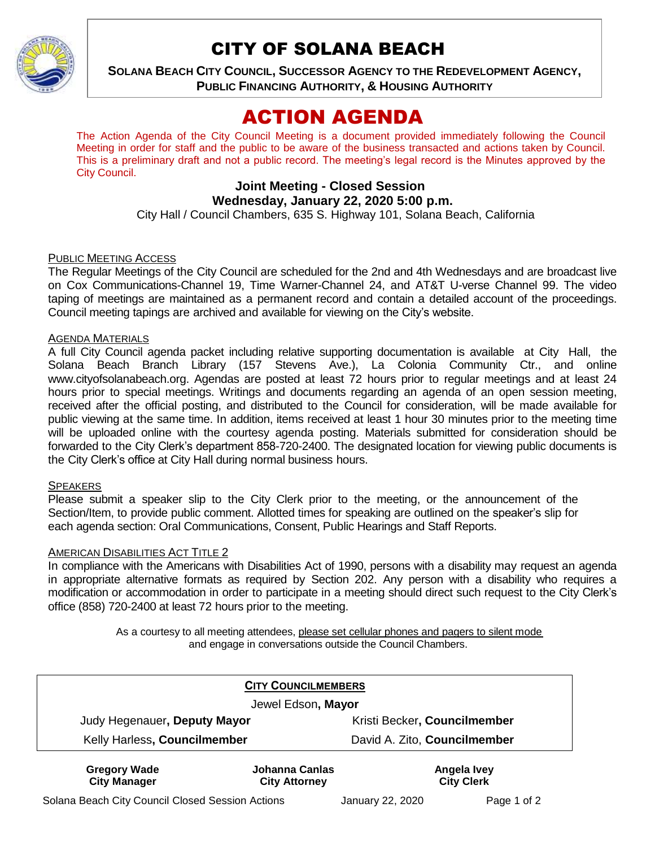

# CITY OF SOLANA BEACH

**SOLANA BEACH CITY COUNCIL, SUCCESSOR AGENCY TO THE REDEVELOPMENT AGENCY, PUBLIC FINANCING AUTHORITY, & HOUSING AUTHORITY** 

# ACTION AGENDA

The Action Agenda of the City Council Meeting is a document provided immediately following the Council Meeting in order for staff and the public to be aware of the business transacted and actions taken by Council. This is a preliminary draft and not a public record. The meeting's legal record is the Minutes approved by the City Council.

# **Joint Meeting - Closed Session Wednesday, January 22, 2020 5:00 p.m.**

City Hall / Council Chambers, 635 S. Highway 101, Solana Beach, California

#### PUBLIC MEETING ACCESS

The Regular Meetings of the City Council are scheduled for the 2nd and 4th Wednesdays and are broadcast live on Cox Communications-Channel 19, Time Warner-Channel 24, and AT&T U-verse Channel 99. The video taping of meetings are maintained as a permanent record and contain a detailed account of the proceedings. Council meeting tapings are archived and available for viewing on the City's website.

#### AGENDA MATERIALS

A full City Council agenda packet including relative supporting documentation is available at City Hall, the Solana Beach Branch Library (157 Stevens Ave.), La Colonia Community Ctr., and online [www.cityofsolanabeach.org.](http://www.cityofsolanabeach.org/) Agendas are posted at least 72 hours prior to regular meetings and at least 24 hours prior to special meetings. Writings and documents regarding an agenda of an open session meeting, received after the official posting, and distributed to the Council for consideration, will be made available for public viewing at the same time. In addition, items received at least 1 hour 30 minutes prior to the meeting time will be uploaded online with the courtesy agenda posting. Materials submitted for consideration should be forwarded to the City Clerk's department 858-720-2400. The designated location for viewing public documents is the City Clerk's office at City Hall during normal business hours.

#### **SPEAKERS**

Please submit a speaker slip to the City Clerk prior to the meeting, or the announcement of the Section/Item, to provide public comment. Allotted times for speaking are outlined on the speaker's slip for each agenda section: Oral Communications, Consent, Public Hearings and Staff Reports.

#### **AMERICAN DISABILITIES ACT TITLE 2**

In compliance with the Americans with Disabilities Act of 1990, persons with a disability may request an agenda in appropriate alternative formats as required by Section 202. Any person with a disability who requires a modification or accommodation in order to participate in a meeting should direct such request to the City Clerk's office (858) 720-2400 at least 72 hours prior to the meeting.

> As a courtesy to all meeting attendees, please set cellular phones and pagers to silent mode and engage in conversations outside the Council Chambers.

|                                            | <b>CITY COUNCILMEMBERS</b>             |                                  |
|--------------------------------------------|----------------------------------------|----------------------------------|
|                                            | Jewel Edson, Mayor                     |                                  |
| Judy Hegenauer, Deputy Mayor               |                                        | Kristi Becker, Councilmember     |
| Kelly Harless, Councilmember               |                                        | David A. Zito, Councilmember     |
| <b>Gregory Wade</b><br><b>City Manager</b> | Johanna Canlas<br><b>City Attorney</b> | Angela Ivey<br><b>City Clerk</b> |

Solana Beach City Council Closed Session Actions January 22, 2020 Page 1 of 2